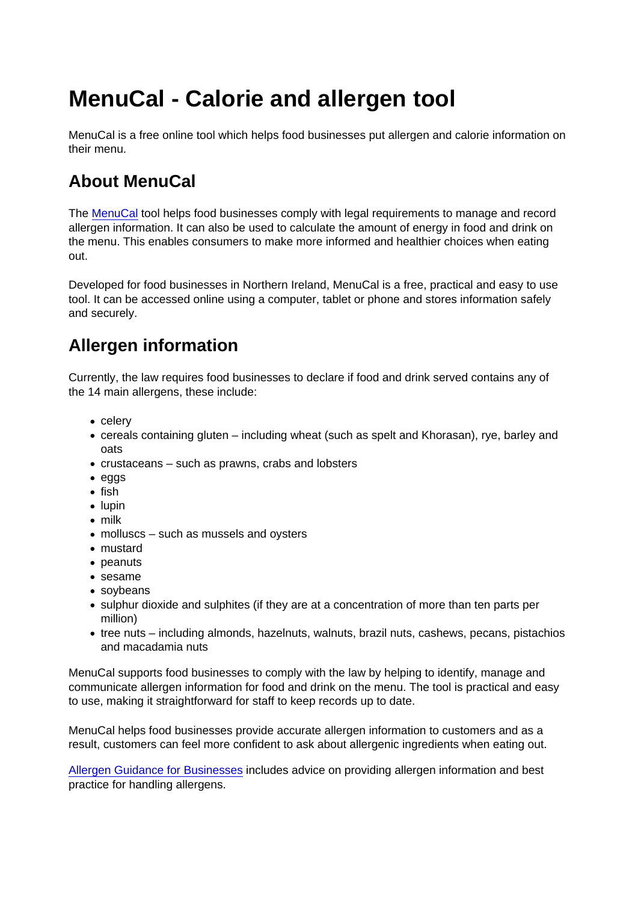## MenuCal - Calorie and allergen tool

MenuCal is a free online tool which helps food businesses put allergen and calorie information on their menu.

## About MenuCal

The [MenuCal](https://www.menucalni.co.uk/Account/LogOn?ReturnUrl=/) tool helps food businesses comply with legal requirements to manage and record allergen information. It can also be used to calculate the amount of energy in food and drink on the menu. This enables consumers to make more informed and healthier choices when eating out.

Developed for food businesses in Northern Ireland, MenuCal is a free, practical and easy to use tool. It can be accessed online using a computer, tablet or phone and stores information safely and securely.

## Allergen information

Currently, the law requires food businesses to declare if food and drink served contains any of the 14 main allergens, these include:

- celery
- cereals containing gluten including wheat (such as spelt and Khorasan), rye, barley and oats
- crustaceans such as prawns, crabs and lobsters
- eggs
- $\bullet$  fish
- $\bullet$  lupin
- milk
- molluscs such as mussels and oysters
- mustard
- peanuts
- sesame
- soybeans
- sulphur dioxide and sulphites (if they are at a concentration of more than ten parts per million)
- tree nuts including almonds, hazelnuts, walnuts, brazil nuts, cashews, pecans, pistachios and macadamia nuts

MenuCal supports food businesses to comply with the law by helping to identify, manage and communicate allergen information for food and drink on the menu. The tool is practical and easy to use, making it straightforward for staff to keep records up to date.

MenuCal helps food businesses provide accurate allergen information to customers and as a result, customers can feel more confident to ask about allergenic ingredients when eating out.

[Allergen Guidance for Businesses](https://www.food.gov.uk/business-guidance/allergen-guidance-for-food-businesses) includes advice on providing allergen information and best practice for handling allergens.